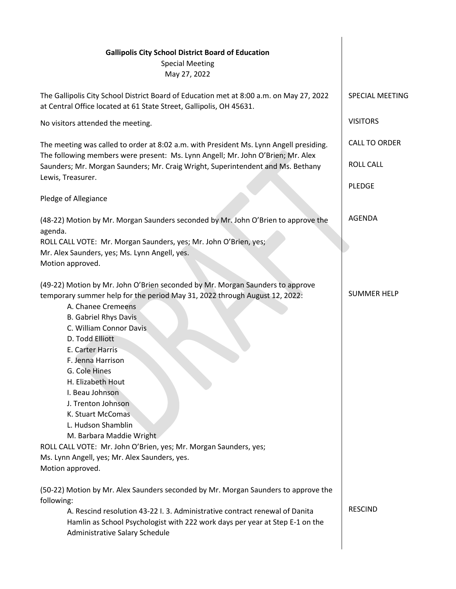| <b>Gallipolis City School District Board of Education</b>                                                                                                                               |                        |
|-----------------------------------------------------------------------------------------------------------------------------------------------------------------------------------------|------------------------|
| <b>Special Meeting</b>                                                                                                                                                                  |                        |
| May 27, 2022                                                                                                                                                                            |                        |
| The Gallipolis City School District Board of Education met at 8:00 a.m. on May 27, 2022<br>at Central Office located at 61 State Street, Gallipolis, OH 45631.                          | <b>SPECIAL MEETING</b> |
| No visitors attended the meeting.                                                                                                                                                       | <b>VISITORS</b>        |
| The meeting was called to order at 8:02 a.m. with President Ms. Lynn Angell presiding.                                                                                                  | <b>CALL TO ORDER</b>   |
| The following members were present: Ms. Lynn Angell; Mr. John O'Brien; Mr. Alex<br>Saunders; Mr. Morgan Saunders; Mr. Craig Wright, Superintendent and Ms. Bethany<br>Lewis, Treasurer. | <b>ROLL CALL</b>       |
| Pledge of Allegiance                                                                                                                                                                    | <b>PLEDGE</b>          |
|                                                                                                                                                                                         |                        |
| (48-22) Motion by Mr. Morgan Saunders seconded by Mr. John O'Brien to approve the<br>agenda.                                                                                            | <b>AGENDA</b>          |
| ROLL CALL VOTE: Mr. Morgan Saunders, yes; Mr. John O'Brien, yes;                                                                                                                        |                        |
| Mr. Alex Saunders, yes; Ms. Lynn Angell, yes.                                                                                                                                           |                        |
| Motion approved.                                                                                                                                                                        |                        |
| (49-22) Motion by Mr. John O'Brien seconded by Mr. Morgan Saunders to approve                                                                                                           |                        |
| temporary summer help for the period May 31, 2022 through August 12, 2022:                                                                                                              | <b>SUMMER HELP</b>     |
| A. Chanee Cremeens                                                                                                                                                                      |                        |
| <b>B. Gabriel Rhys Davis</b>                                                                                                                                                            |                        |
| C. William Connor Davis                                                                                                                                                                 |                        |
| D. Todd Elliott                                                                                                                                                                         |                        |
| E. Carter Harris                                                                                                                                                                        |                        |
| F. Jenna Harrison                                                                                                                                                                       |                        |
| G. Cole Hines                                                                                                                                                                           |                        |
| H. Elizabeth Hout                                                                                                                                                                       |                        |
| I. Beau Johnson                                                                                                                                                                         |                        |
| J. Trenton Johnson                                                                                                                                                                      |                        |
| K. Stuart McComas                                                                                                                                                                       |                        |
| L. Hudson Shamblin                                                                                                                                                                      |                        |
| M. Barbara Maddie Wright<br>ROLL CALL VOTE: Mr. John O'Brien, yes; Mr. Morgan Saunders, yes;                                                                                            |                        |
| Ms. Lynn Angell, yes; Mr. Alex Saunders, yes.                                                                                                                                           |                        |
| Motion approved.                                                                                                                                                                        |                        |
| (50-22) Motion by Mr. Alex Saunders seconded by Mr. Morgan Saunders to approve the                                                                                                      |                        |
| following:                                                                                                                                                                              |                        |
| A. Rescind resolution 43-22 I. 3. Administrative contract renewal of Danita                                                                                                             | <b>RESCIND</b>         |
| Hamlin as School Psychologist with 222 work days per year at Step E-1 on the<br>Administrative Salary Schedule                                                                          |                        |
|                                                                                                                                                                                         |                        |